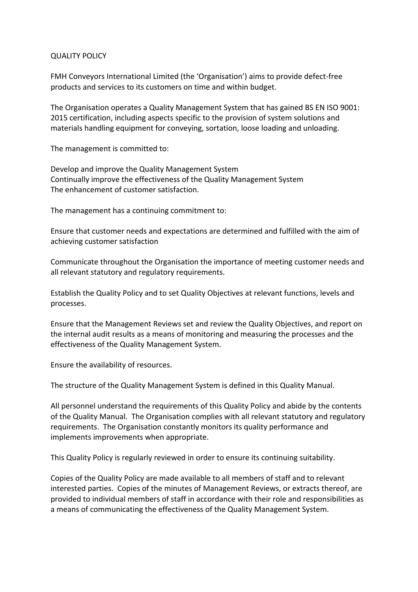## QUALITY POLICY

FMH Conveyors International Limited (the 'Organisation') aims to provide defect-free products and services to its customers on time and within budget.

The Organisation operates a Quality Management System that has gained BS EN ISO 9001: 2015 certification, including aspects specific to the provision of system solutions and materials handling equipment for conveying, sortation, loose loading and unloading.

The management is committed to:

Develop and improve the Quality Management System Continually improve the effectiveness of the Quality Management System The enhancement of customer satisfaction.

The management has a continuing commitment to:

Ensure that customer needs and expectations are determined and fulfilled with the aim of achieving customer satisfaction

Communicate throughout the Organisation the importance of meeting customer needs and all relevant statutory and regulatory requirements.

Establish the Quality Policy and to set Quality Objectives at relevant functions, levels and processes.

Ensure that the Management Reviews set and review the Quality Objectives, and report on the internal audit results as a means of monitoring and measuring the processes and the effectiveness of the Quality Management System.

Ensure the availability of resources.

The structure of the Quality Management System is defined in this Quality Manual.

All personnel understand the requirements of this Quality Policy and abide by the contents of the Quality Manual. The Organisation complies with all relevant statutory and regulatory requirements. The Organisation constantly monitors its quality performance and implements improvements when appropriate.

This Quality Policy is regularly reviewed in order to ensure its continuing suitability.

Copies of the Quality Policy are made available to all members of staff and to relevant interested parties. Copies of the minutes of Management Reviews, or extracts thereof, are provided to individual members of staff in accordance with their role and responsibilities as a means of communicating the effectiveness of the Quality Management System.